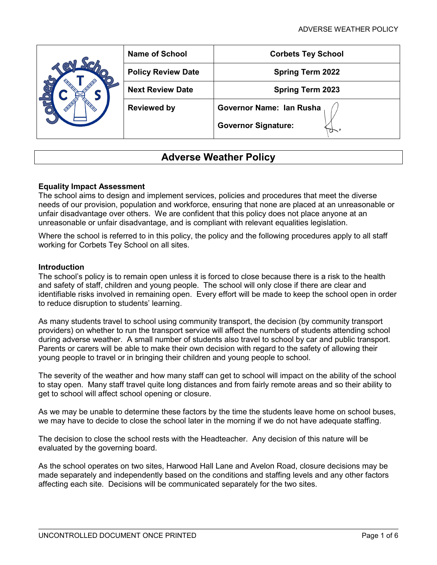| <b>Name of School</b>                          | <b>Corbets Tey School</b>            |  |  |
|------------------------------------------------|--------------------------------------|--|--|
| <b>Policy Review Date</b>                      | <b>Spring Term 2022</b>              |  |  |
| <b>Next Review Date</b>                        | <b>Spring Term 2023</b>              |  |  |
| Governor Name: Ian Rusha<br><b>Reviewed by</b> |                                      |  |  |
|                                                | <b>Governor Signature:</b><br>$\sim$ |  |  |

# **Adverse Weather Policy**

## **Equality Impact Assessment**

The school aims to design and implement services, policies and procedures that meet the diverse needs of our provision, population and workforce, ensuring that none are placed at an unreasonable or unfair disadvantage over others. We are confident that this policy does not place anyone at an unreasonable or unfair disadvantage, and is compliant with relevant equalities legislation.

Where the school is referred to in this policy, the policy and the following procedures apply to all staff working for Corbets Tey School on all sites.

#### **Introduction**

The school's policy is to remain open unless it is forced to close because there is a risk to the health and safety of staff, children and young people. The school will only close if there are clear and identifiable risks involved in remaining open. Every effort will be made to keep the school open in order to reduce disruption to students' learning.

As many students travel to school using community transport, the decision (by community transport providers) on whether to run the transport service will affect the numbers of students attending school during adverse weather. A small number of students also travel to school by car and public transport. Parents or carers will be able to make their own decision with regard to the safety of allowing their young people to travel or in bringing their children and young people to school.

The severity of the weather and how many staff can get to school will impact on the ability of the school to stay open. Many staff travel quite long distances and from fairly remote areas and so their ability to get to school will affect school opening or closure.

As we may be unable to determine these factors by the time the students leave home on school buses, we may have to decide to close the school later in the morning if we do not have adequate staffing.

The decision to close the school rests with the Headteacher. Any decision of this nature will be evaluated by the governing board.

As the school operates on two sites, Harwood Hall Lane and Avelon Road, closure decisions may be made separately and independently based on the conditions and staffing levels and any other factors affecting each site. Decisions will be communicated separately for the two sites.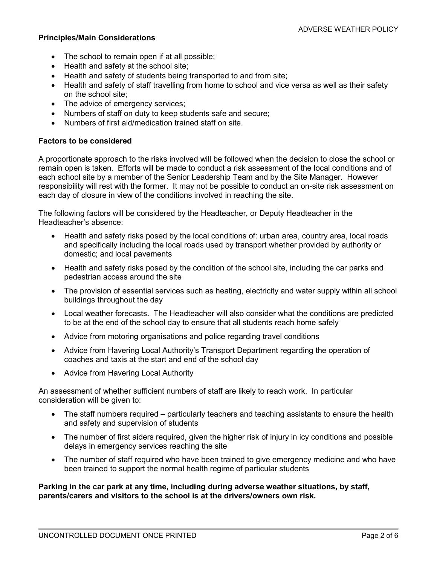### **Principles/Main Considerations**

- The school to remain open if at all possible;
- Health and safety at the school site;
- Health and safety of students being transported to and from site;
- Health and safety of staff travelling from home to school and vice versa as well as their safety on the school site;
- The advice of emergency services;
- Numbers of staff on duty to keep students safe and secure;
- Numbers of first aid/medication trained staff on site.

### **Factors to be considered**

A proportionate approach to the risks involved will be followed when the decision to close the school or remain open is taken. Efforts will be made to conduct a risk assessment of the local conditions and of each school site by a member of the Senior Leadership Team and by the Site Manager. However responsibility will rest with the former. It may not be possible to conduct an on-site risk assessment on each day of closure in view of the conditions involved in reaching the site.

The following factors will be considered by the Headteacher, or Deputy Headteacher in the Headteacher's absence:

- Health and safety risks posed by the local conditions of: urban area, country area, local roads and specifically including the local roads used by transport whether provided by authority or domestic; and local pavements
- Health and safety risks posed by the condition of the school site, including the car parks and pedestrian access around the site
- The provision of essential services such as heating, electricity and water supply within all school buildings throughout the day
- Local weather forecasts. The Headteacher will also consider what the conditions are predicted to be at the end of the school day to ensure that all students reach home safely
- Advice from motoring organisations and police regarding travel conditions
- Advice from Havering Local Authority's Transport Department regarding the operation of coaches and taxis at the start and end of the school day
- Advice from Havering Local Authority

An assessment of whether sufficient numbers of staff are likely to reach work. In particular consideration will be given to:

- The staff numbers required particularly teachers and teaching assistants to ensure the health and safety and supervision of students
- The number of first aiders required, given the higher risk of injury in icy conditions and possible delays in emergency services reaching the site
- The number of staff required who have been trained to give emergency medicine and who have been trained to support the normal health regime of particular students

**Parking in the car park at any time, including during adverse weather situations, by staff, parents/carers and visitors to the school is at the drivers/owners own risk.**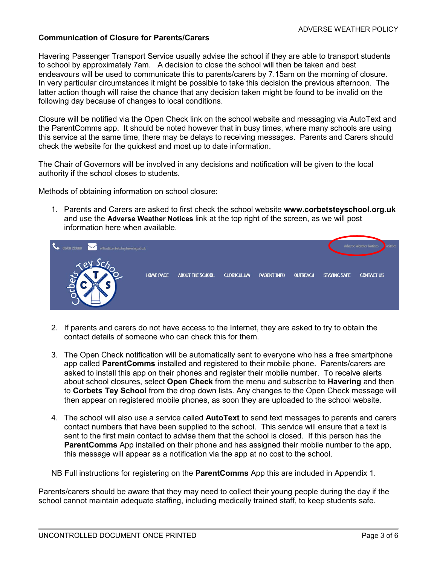## **Communication of Closure for Parents/Carers**

Havering Passenger Transport Service usually advise the school if they are able to transport students to school by approximately 7am. A decision to close the school will then be taken and best endeavours will be used to communicate this to parents/carers by 7.15am on the morning of closure. In very particular circumstances it might be possible to take this decision the previous afternoon. The latter action though will raise the chance that any decision taken might be found to be invalid on the following day because of changes to local conditions.

Closure will be notified via the Open Check link on the school website and messaging via AutoText and the ParentComms app. It should be noted however that in busy times, where many schools are using this service at the same time, there may be delays to receiving messages. Parents and Carers should check the website for the quickest and most up to date information.

The Chair of Governors will be involved in any decisions and notification will be given to the local authority if the school closes to students.

Methods of obtaining information on school closure:

1. Parents and Carers are asked to first check the school website **[www.corbetsteyschool.org.uk](http://www.corbetsteyschool.org.uk/)** and use the **Adverse Weather Notices** link at the top right of the screen, as we will post information here when available.



- 2. If parents and carers do not have access to the Internet, they are asked to try to obtain the contact details of someone who can check this for them.
- 3. The Open Check notification will be automatically sent to everyone who has a free smartphone app called **ParentComms** installed and registered to their mobile phone. Parents/carers are asked to install this app on their phones and register their mobile number. To receive alerts about school closures, select **Open Check** from the menu and subscribe to **Havering** and then to **Corbets Tey School** from the drop down lists. Any changes to the Open Check message will then appear on registered mobile phones, as soon they are uploaded to the school website.
- 4. The school will also use a service called **AutoText** to send text messages to parents and carers contact numbers that have been supplied to the school. This service will ensure that a text is sent to the first main contact to advise them that the school is closed. If this person has the **ParentComms** App installed on their phone and has assigned their mobile number to the app, this message will appear as a notification via the app at no cost to the school.

NB Full instructions for registering on the **ParentComms** App this are included in Appendix 1.

Parents/carers should be aware that they may need to collect their young people during the day if the school cannot maintain adequate staffing, including medically trained staff, to keep students safe.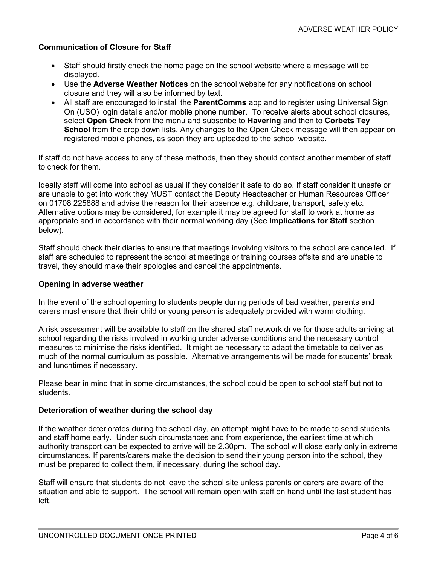## **Communication of Closure for Staff**

- Staff should firstly check the home page on the school website where a message will be displayed.
- Use the **Adverse Weather Notices** on the school website for any notifications on school closure and they will also be informed by text.
- All staff are encouraged to install the **ParentComms** app and to register using Universal Sign On (USO) login details and/or mobile phone number. To receive alerts about school closures, select **Open Check** from the menu and subscribe to **Havering** and then to **Corbets Tey School** from the drop down lists. Any changes to the Open Check message will then appear on registered mobile phones, as soon they are uploaded to the school website.

If staff do not have access to any of these methods, then they should contact another member of staff to check for them.

Ideally staff will come into school as usual if they consider it safe to do so. If staff consider it unsafe or are unable to get into work they MUST contact the Deputy Headteacher or Human Resources Officer on 01708 225888 and advise the reason for their absence e.g. childcare, transport, safety etc. Alternative options may be considered, for example it may be agreed for staff to work at home as appropriate and in accordance with their normal working day (See **Implications for Staff** section below).

Staff should check their diaries to ensure that meetings involving visitors to the school are cancelled. If staff are scheduled to represent the school at meetings or training courses offsite and are unable to travel, they should make their apologies and cancel the appointments.

### **Opening in adverse weather**

In the event of the school opening to students people during periods of bad weather, parents and carers must ensure that their child or young person is adequately provided with warm clothing.

A risk assessment will be available to staff on the shared staff network drive for those adults arriving at school regarding the risks involved in working under adverse conditions and the necessary control measures to minimise the risks identified. It might be necessary to adapt the timetable to deliver as much of the normal curriculum as possible. Alternative arrangements will be made for students' break and lunchtimes if necessary.

Please bear in mind that in some circumstances, the school could be open to school staff but not to students.

#### **Deterioration of weather during the school day**

If the weather deteriorates during the school day, an attempt might have to be made to send students and staff home early. Under such circumstances and from experience, the earliest time at which authority transport can be expected to arrive will be 2.30pm. The school will close early only in extreme circumstances. If parents/carers make the decision to send their young person into the school, they must be prepared to collect them, if necessary, during the school day.

Staff will ensure that students do not leave the school site unless parents or carers are aware of the situation and able to support. The school will remain open with staff on hand until the last student has left.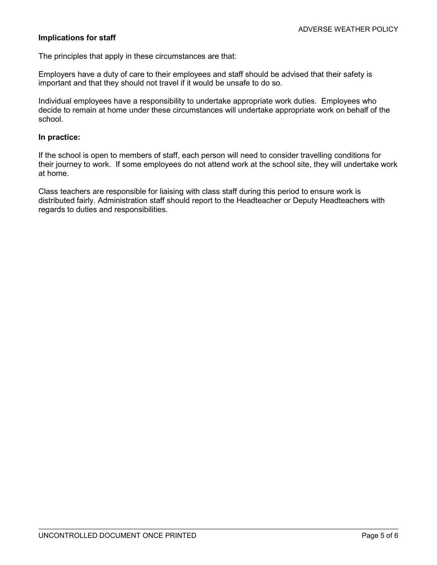## **Implications for staff**

The principles that apply in these circumstances are that:

Employers have a duty of care to their employees and staff should be advised that their safety is important and that they should not travel if it would be unsafe to do so.

Individual employees have a responsibility to undertake appropriate work duties. Employees who decide to remain at home under these circumstances will undertake appropriate work on behalf of the school.

### **In practice:**

If the school is open to members of staff, each person will need to consider travelling conditions for their journey to work. If some employees do not attend work at the school site, they will undertake work at home.

Class teachers are responsible for liaising with class staff during this period to ensure work is distributed fairly. Administration staff should report to the Headteacher or Deputy Headteachers with regards to duties and responsibilities.